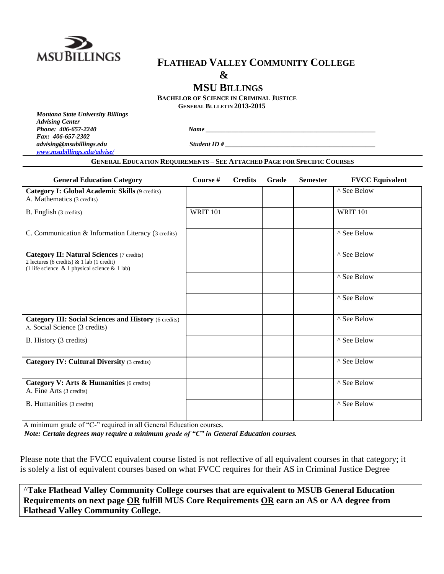

# **FLATHEAD VALLEY COMMUNITY COLLEGE**

**&**

**MSU BILLINGS**

**BACHELOR OF SCIENCE IN CRIMINAL JUSTICE**

**GENERAL BULLETIN 2013-2015**

*Montana State University Billings Advising Center Phone:* 406-657-2240 *Name Fax: 406-657-2302 advising@msubillings.edu Student ID # \_\_\_\_\_\_\_\_\_\_\_\_\_\_\_\_\_\_\_\_\_\_\_\_\_\_\_\_\_\_\_\_\_\_\_\_\_\_\_\_\_\_\_\_\_\_ [www.msubillings.edu/advise/](http://www.msubillings.edu/advise/)*

## **GENERAL EDUCATION REQUIREMENTS – SEE ATTACHED PAGE FOR SPECIFIC COURSES**

| <b>General Education Category</b>                                                                                                              | Course #        | <b>Credits</b> | Grade | <b>Semester</b> | <b>FVCC Equivalent</b> |
|------------------------------------------------------------------------------------------------------------------------------------------------|-----------------|----------------|-------|-----------------|------------------------|
| <b>Category I: Global Academic Skills (9 credits)</b><br>A. Mathematics (3 credits)                                                            |                 |                |       |                 | ^ See Below            |
| B. English (3 credits)                                                                                                                         | <b>WRIT 101</b> |                |       |                 | <b>WRIT 101</b>        |
| C. Communication & Information Literacy (3 credits)                                                                                            |                 |                |       |                 | ^ See Below            |
| <b>Category II: Natural Sciences (7 credits)</b><br>2 lectures (6 credits) & 1 lab (1 credit)<br>(1 life science & 1 physical science & 1 lab) |                 |                |       |                 | ^ See Below            |
|                                                                                                                                                |                 |                |       |                 | ^ See Below            |
|                                                                                                                                                |                 |                |       |                 | ^ See Below            |
| <b>Category III: Social Sciences and History (6 credits)</b><br>A. Social Science (3 credits)                                                  |                 |                |       |                 | ^ See Below            |
| B. History (3 credits)                                                                                                                         |                 |                |       |                 | ^ See Below            |
| <b>Category IV: Cultural Diversity (3 credits)</b>                                                                                             |                 |                |       |                 | ^ See Below            |
| Category V: Arts & Humanities (6 credits)<br>A. Fine Arts (3 credits)                                                                          |                 |                |       |                 | ^ See Below            |
| B. Humanities (3 credits)                                                                                                                      |                 |                |       |                 | ^ See Below            |

A minimum grade of "C-" required in all General Education courses.

*Note: Certain degrees may require a minimum grade of "C" in General Education courses.*

Please note that the FVCC equivalent course listed is not reflective of all equivalent courses in that category; it is solely a list of equivalent courses based on what FVCC requires for their AS in Criminal Justice Degree

^**Take Flathead Valley Community College courses that are equivalent to MSUB General Education Requirements on next page OR fulfill MUS Core Requirements OR earn an AS or AA degree from Flathead Valley Community College.**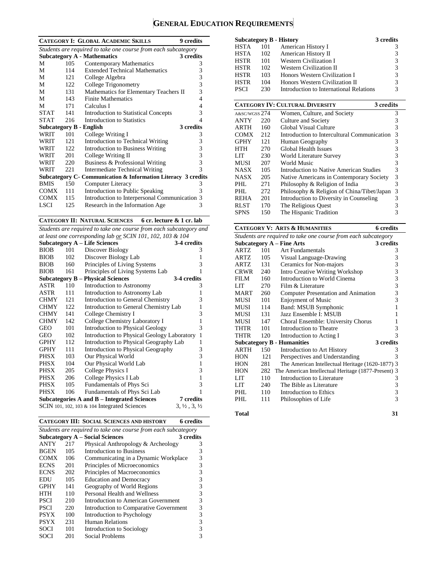# **GENERAL EDUCATION REQUIREMENTS**

|             |      | <b>CATEGORY I: GLOBAL ACADEMIC SKILLS</b><br>9 credits         |   |
|-------------|------|----------------------------------------------------------------|---|
|             |      | Students are required to take one course from each subcategory |   |
|             |      | <b>Subcategory A - Mathematics</b><br>3 credits                |   |
| М           | 105  | Contemporary Mathematics                                       | 3 |
| М           | 114  | <b>Extended Technical Mathematics</b>                          | 3 |
| М           | 121  | College Algebra                                                | 3 |
| М           | 122  | College Trigonometry                                           | 3 |
| М           | 131  | Mathematics for Elementary Teachers II                         | 3 |
| М           | 143  | <b>Finite Mathematics</b>                                      | 4 |
| М           | 171  | Calculus I                                                     | 4 |
| <b>STAT</b> | 141  | <b>Introduction to Statistical Concepts</b>                    | 3 |
| <b>STAT</b> | 216  | Introduction to Statistics                                     | 4 |
|             |      | 3 credits<br><b>Subcategory B - English</b>                    |   |
| WRIT        | 101  | College Writing I                                              | 3 |
| WRIT        | 121  | Introduction to Technical Writing                              | 3 |
| WRIT        | 122. | <b>Introduction to Business Writing</b>                        | 3 |
| WRIT        | 201  | College Writing II                                             | 3 |
| WRIT        | 220  | Business & Professional Writing                                | 3 |
| WRIT        | 221  | Intermediate Technical Writing                                 | 3 |
|             |      | Subcategory C- Communication & Information Literacy 3 credits  |   |
| <b>BMIS</b> | 150  | Computer Literacy                                              | 3 |
| <b>COMX</b> | 111  | Introduction to Public Speaking                                | 3 |
| <b>COMX</b> | 115  | Introduction to Interpersonal Communication                    | 3 |
| <b>LSCI</b> | 125  | Research in the Information Age                                | 3 |

**CATEGORY II: NATURAL SCIENCES 6 cr. lecture & 1 cr. lab**

*Students are required to take one course from each subcategory and at least one corresponding lab or SCIN 101, 102, 103 & 104*

| a least one corresponding tub or SCIIV 101, 102, 103 & 107 |     |                                                |                                  |  |  |
|------------------------------------------------------------|-----|------------------------------------------------|----------------------------------|--|--|
|                                                            |     | Subcategory A – Life Sciences                  | 3-4 credits                      |  |  |
| <b>BIOB</b>                                                | 101 | Discover Biology                               | 3                                |  |  |
| <b>BIOB</b>                                                | 102 | Discover Biology Lab                           | 1                                |  |  |
| <b>BIOB</b>                                                | 160 | Principles of Living Systems                   | 3                                |  |  |
| <b>BIOB</b>                                                | 161 | Principles of Living Systems Lab               | 1                                |  |  |
| Subcategory $B -$                                          |     | <b>Physical Sciences</b>                       | 3-4 credits                      |  |  |
| ASTR                                                       | 110 | Introduction to Astronomy                      | 3                                |  |  |
| ASTR                                                       | 111 | Introduction to Astronomy Lab                  | 1                                |  |  |
| <b>CHMY</b>                                                | 121 | Introduction to General Chemistry              | 3                                |  |  |
| <b>CHMY</b>                                                | 122 | Introduction to General Chemistry Lab          | $\mathbf{1}$                     |  |  |
| <b>CHMY</b>                                                | 141 | College Chemistry I                            | 3                                |  |  |
| <b>CHMY</b>                                                | 142 | College Chemistry Laboratory I                 | $\mathbf{1}$                     |  |  |
| GEO                                                        | 101 | <b>Introduction to Physical Geology</b>        | 3                                |  |  |
| GEO                                                        | 102 | Introduction to Physical Geology Laboratory    | $\mathbf{1}$                     |  |  |
| <b>GPHY</b>                                                | 112 | Introduction to Physical Geography Lab         | 1                                |  |  |
| <b>GPHY</b>                                                | 111 | Introduction to Physical Geography             | 3                                |  |  |
| PHSX                                                       | 103 | Our Physical World                             | 3                                |  |  |
| PHSX                                                       | 104 | Our Physical World Lab                         | $\mathbf{1}$                     |  |  |
| PHSX                                                       | 205 | College Physics I                              | 3                                |  |  |
| PHSX                                                       | 206 | College Physics I Lab                          | $\mathbf{1}$                     |  |  |
| PHSX                                                       | 105 | Fundamentals of Phys Sci                       | 3                                |  |  |
| <b>PHSX</b>                                                | 106 | Fundamentals of Phys Sci Lab                   | 1                                |  |  |
|                                                            |     | Subcategories A and B – Integrated Sciences    | 7 credits                        |  |  |
|                                                            |     | SCIN 101, 102, 103 $&$ 104 Integrated Sciences | $3, \frac{1}{2}, 3, \frac{1}{2}$ |  |  |

**CATEGORY III: SOCIAL SCIENCES AND HISTORY 6 credits**

| Students are required to take one course from each subcategory |     |                                        |           |  |
|----------------------------------------------------------------|-----|----------------------------------------|-----------|--|
|                                                                |     | <b>Subcategory A – Social Sciences</b> | 3 credits |  |
| <b>ANTY</b>                                                    | 217 | Physical Anthropology & Archeology     | 3         |  |
| <b>BGEN</b>                                                    | 105 | Introduction to Business               | 3         |  |
| <b>COMX</b>                                                    | 106 | Communicating in a Dynamic Workplace   | 3         |  |
| <b>ECNS</b>                                                    | 201 | Principles of Microeconomics           | 3         |  |
| <b>ECNS</b>                                                    | 202 | Principles of Macroeconomics           | 3         |  |
| EDU                                                            | 105 | <b>Education and Democracy</b>         | 3         |  |
| <b>GPHY</b>                                                    | 141 | Geography of World Regions             | 3         |  |
| HTH                                                            | 110 | Personal Health and Wellness           | 3         |  |
| <b>PSCI</b>                                                    | 210 | Introduction to American Government    | 3         |  |
| <b>PSCI</b>                                                    | 220 | Introduction to Comparative Government | 3         |  |
| <b>PSYX</b>                                                    | 100 | Introduction to Psychology             | 3         |  |
| <b>PSYX</b>                                                    | 231 | <b>Human Relations</b>                 | 3         |  |
| <b>SOCI</b>                                                    | 101 | Introduction to Sociology              |           |  |
| SOCI                                                           | 201 | Social Problems                        |           |  |

|             |     | <b>Subcategory B - History</b>          | 3 credits |
|-------------|-----|-----------------------------------------|-----------|
| HSTA        | 101 | American History I                      | 3         |
| <b>HSTA</b> | 102 | American History II                     | 3         |
| <b>HSTR</b> | 101 | <b>Western Civilization I</b>           | 3         |
| <b>HSTR</b> | 102 | <b>Western Civilization II</b>          | 3         |
| <b>HSTR</b> | 103 | Honors Western Civilization I           | 3         |
| <b>HSTR</b> | 104 | Honors Western Civilization II          | 3         |
| <b>PSCI</b> | 230 | Introduction to International Relations | 3         |

|               |     | <b>CATEGORY IV: CULTURAL DIVERSITY</b>      | 3 credits |
|---------------|-----|---------------------------------------------|-----------|
| A&SC/WGSS 274 |     | Women, Culture, and Society                 | 3         |
| <b>ANTY</b>   | 220 | Culture and Society                         | 3         |
| ARTH          | 160 | Global Visual Culture                       | 3         |
| <b>COMX</b>   | 212 | Introduction to Intercultural Communication | 3         |
| <b>GPHY</b>   | 121 | Human Geography                             | 3         |
| HTH           | 270 | <b>Global Health Issues</b>                 | 3         |
| LIT           | 230 | World Literature Survey                     | 3         |
| <b>MUSI</b>   | 207 | World Music                                 | 3         |
| <b>NASX</b>   | 105 | Introduction to Native American Studies     | 3         |
| <b>NASX</b>   | 205 | Native Americans in Contemporary Society    | 3         |
| PHI.          | 271 | Philosophy & Religion of India              | 3         |
| PHL           | 272 | Philosophy & Religion of China/Tibet/Japan  | 3         |
| <b>REHA</b>   | 201 | Introduction to Diversity in Counseling     | 3         |
| <b>RLST</b>   | 170 | The Religious Quest                         |           |
| <b>SPNS</b>   | 150 | The Hispanic Tradition                      |           |

### **CATEGORY V: ARTS & HUMANITIES 6 credits**

| Students are required to take one course from each subcategory |     |                                                     |           |  |
|----------------------------------------------------------------|-----|-----------------------------------------------------|-----------|--|
|                                                                |     | <b>Subcategory A - Fine Arts</b>                    | 3 credits |  |
| <b>ARTZ</b>                                                    | 101 | Art Fundamentals                                    | 3         |  |
| <b>ARTZ</b>                                                    | 105 | Visual Language-Drawing                             | 3         |  |
| ARTZ.                                                          | 131 | Ceramics for Non-majors                             | 3         |  |
| CRWR                                                           | 240 | <b>Intro Creative Writing Workshop</b>              | 3         |  |
| FILM                                                           | 160 | Introduction to World Cinema                        | 3         |  |
| LIT                                                            | 270 | Film & Literature                                   | 3         |  |
| <b>MART</b>                                                    | 260 | Computer Presentation and Animation                 | 3         |  |
| <b>MUSI</b>                                                    | 101 | <b>Enjoyment of Music</b>                           | 3         |  |
| MUSI                                                           | 114 | Band: MSUB Symphonic                                | 1         |  |
| MUSI                                                           | 131 | Jazz Ensemble I: MSUB                               |           |  |
| MUSI                                                           | 147 | Choral Ensemble: University Chorus                  | 1         |  |
| THTR                                                           | 101 | Introduction to Theatre                             | 3         |  |
| <b>THTR</b>                                                    | 120 | Introduction to Acting I                            | 3         |  |
|                                                                |     | <b>Subcategory B - Humanities</b>                   | 3 credits |  |
| <b>ARTH</b>                                                    | 150 | Introduction to Art History                         | 3         |  |
| <b>HON</b>                                                     | 121 | Perspectives and Understanding                      | 3         |  |
| <b>HON</b>                                                     | 281 | The American Intellectual Heritage (1620-1877) 3    |           |  |
| <b>HON</b>                                                     | 282 | The American Intellectual Heritage (1877-Present) 3 |           |  |
| LIT                                                            | 110 | Introduction to Literature                          | 3         |  |
| LIT                                                            | 240 | The Bible as Literature                             | 3         |  |
| PHL                                                            | 110 | Introduction to Ethics                              | 3         |  |
| PHL                                                            | 111 | Philosophies of Life                                | 3         |  |
|                                                                |     |                                                     |           |  |

| Total | 31 |
|-------|----|
|       |    |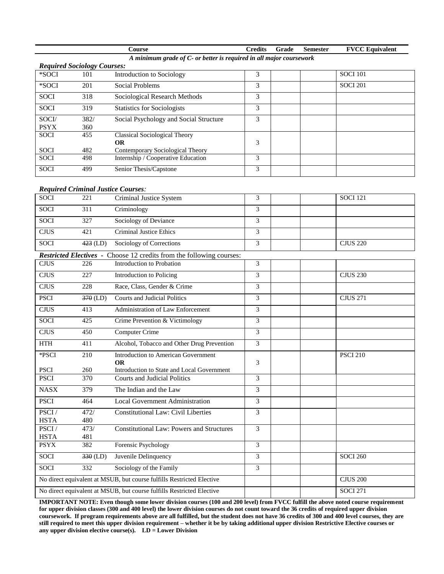|                                                                     |                                    | Course                                 | <b>Credits</b> | Grade | <b>Semester</b> | <b>FVCC Equivalent</b> |  |
|---------------------------------------------------------------------|------------------------------------|----------------------------------------|----------------|-------|-----------------|------------------------|--|
| A minimum grade of C- or better is required in all major coursework |                                    |                                        |                |       |                 |                        |  |
|                                                                     | <b>Required Sociology Courses:</b> |                                        |                |       |                 |                        |  |
| *SOCI                                                               | 101                                | Introduction to Sociology              | 3              |       |                 | <b>SOCI 101</b>        |  |
| *SOCI                                                               | 201                                | Social Problems                        | 3              |       |                 | <b>SOCI 201</b>        |  |
| <b>SOCI</b>                                                         | 318                                | Sociological Research Methods          | 3              |       |                 |                        |  |
| <b>SOCI</b>                                                         | 319                                | <b>Statistics for Sociologists</b>     | 3              |       |                 |                        |  |
| SOCI/                                                               | 382/                               | Social Psychology and Social Structure | 3              |       |                 |                        |  |
| <b>PSYX</b>                                                         | 360                                |                                        |                |       |                 |                        |  |
| <b>SOCI</b>                                                         | 455                                | <b>Classical Sociological Theory</b>   |                |       |                 |                        |  |
|                                                                     |                                    | <b>OR</b>                              | 3              |       |                 |                        |  |
| <b>SOCI</b>                                                         | 482                                | Contemporary Sociological Theory       |                |       |                 |                        |  |
| <b>SOCI</b>                                                         | 498                                | Internship / Cooperative Education     | 3              |       |                 |                        |  |
| <b>SOCI</b>                                                         | 499                                | Senior Thesis/Capstone                 | 3              |       |                 |                        |  |
|                                                                     | _                                  |                                        |                |       |                 |                        |  |

#### *Required Criminal Justice Courses:*

| <b>SOCI</b>          | 221              | Criminal Justice System                                                     | 3              | <b>SOCI 121</b> |
|----------------------|------------------|-----------------------------------------------------------------------------|----------------|-----------------|
| SOCI                 | 311              | Criminology                                                                 | 3              |                 |
| <b>SOCI</b>          | 327              | Sociology of Deviance                                                       | 3              |                 |
| <b>CJUS</b>          | 421              | <b>Criminal Justice Ethics</b>                                              | $\overline{3}$ |                 |
| <b>SOCI</b>          | $423$ (LD)       | Sociology of Corrections                                                    | 3              | <b>CJUS 220</b> |
|                      |                  | <b>Restricted Electives - Choose 12 credits from the following courses:</b> |                |                 |
| <b>CJUS</b>          | 226              | Introduction to Probation                                                   | 3              |                 |
| <b>CJUS</b>          | 227              | Introduction to Policing                                                    | 3              | <b>CJUS 230</b> |
| <b>CJUS</b>          | 228              | Race, Class, Gender & Crime                                                 | 3              |                 |
| <b>PSCI</b>          | $370$ (LD)       | <b>Courts and Judicial Politics</b>                                         | $\overline{3}$ | <b>CJUS 271</b> |
| <b>CJUS</b>          | 413              | Administration of Law Enforcement                                           | 3              |                 |
| <b>SOCI</b>          | 425              | Crime Prevention & Victimology                                              | 3              |                 |
| <b>CJUS</b>          | 450              | <b>Computer Crime</b>                                                       | 3              |                 |
| $\operatorname{HTH}$ | 411              | Alcohol, Tobacco and Other Drug Prevention                                  | 3              |                 |
| *PSCI                | $\overline{210}$ | <b>Introduction to American Government</b>                                  |                | <b>PSCI 210</b> |
| <b>PSCI</b>          | 260              | <b>OR</b><br>Introduction to State and Local Government                     | 3              |                 |
| <b>PSCI</b>          | 370              | <b>Courts and Judicial Politics</b>                                         | 3              |                 |
|                      |                  |                                                                             |                |                 |
| <b>NASX</b>          | 379              | The Indian and the Law                                                      | 3              |                 |
| <b>PSCI</b>          | 464              | Local Government Administration                                             | $\overline{3}$ |                 |
| PSCI/                | 472/             | <b>Constitutional Law: Civil Liberties</b>                                  | 3              |                 |
| <b>HSTA</b>          | 480              |                                                                             |                |                 |
| PSCI/                | 473/             | <b>Constitutional Law: Powers and Structures</b>                            | 3              |                 |
| <b>HSTA</b>          | 481              |                                                                             |                |                 |
| <b>PSYX</b>          | 382              | Forensic Psychology                                                         | $\overline{3}$ |                 |
| <b>SOCI</b>          | $330$ (LD)       | Juvenile Delinquency                                                        | 3              | <b>SOCI 260</b> |
| <b>SOCI</b>          | 332              | Sociology of the Family                                                     | 3              |                 |
|                      |                  | No direct equivalent at MSUB, but course fulfills Restricted Elective       |                | <b>CJUS 200</b> |
|                      |                  | No direct equivalent at MSUB, but course fulfills Restricted Elective       |                | <b>SOCI 271</b> |

**IMPORTANT NOTE: Even though some lower division courses (100 and 200 level) from FVCC fulfill the above noted course requirement for upper division classes (300 and 400 level) the lower division courses do not count toward the 36 credits of required upper division coursework. If program requirements above are all fulfilled, but the student does not have 36 credits of 300 and 400 level courses, they are still required to meet this upper division requirement – whether it be by taking additional upper division Restrictive Elective courses or any upper division elective course(s). LD = Lower Division**